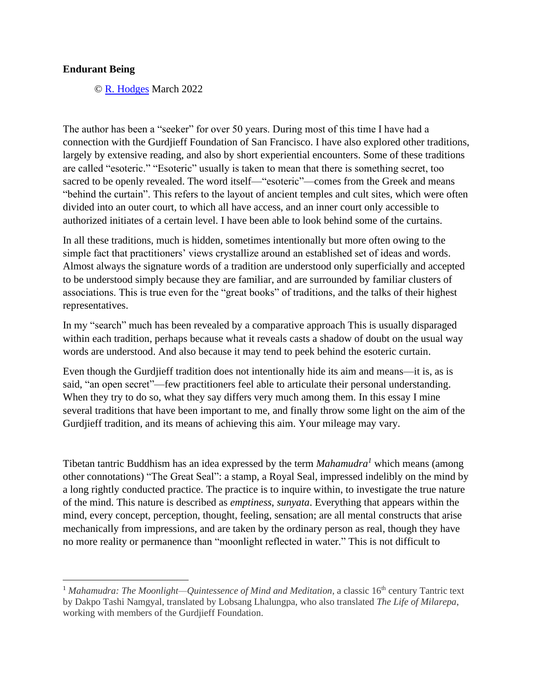## **Endurant Being**

© [R. Hodges](http://www.richardhodges.com/) March 2022

The author has been a "seeker" for over 50 years. During most of this time I have had a connection with the Gurdjieff Foundation of San Francisco. I have also explored other traditions, largely by extensive reading, and also by short experiential encounters. Some of these traditions are called "esoteric." "Esoteric" usually is taken to mean that there is something secret, too sacred to be openly revealed. The word itself—"esoteric"—comes from the Greek and means "behind the curtain". This refers to the layout of ancient temples and cult sites, which were often divided into an outer court, to which all have access, and an inner court only accessible to authorized initiates of a certain level. I have been able to look behind some of the curtains.

In all these traditions, much is hidden, sometimes intentionally but more often owing to the simple fact that practitioners' views crystallize around an established set of ideas and words. Almost always the signature words of a tradition are understood only superficially and accepted to be understood simply because they are familiar, and are surrounded by familiar clusters of associations. This is true even for the "great books" of traditions, and the talks of their highest representatives.

In my "search" much has been revealed by a comparative approach This is usually disparaged within each tradition, perhaps because what it reveals casts a shadow of doubt on the usual way words are understood. And also because it may tend to peek behind the esoteric curtain.

Even though the Gurdjieff tradition does not intentionally hide its aim and means—it is, as is said, "an open secret"—few practitioners feel able to articulate their personal understanding. When they try to do so, what they say differs very much among them. In this essay I mine several traditions that have been important to me, and finally throw some light on the aim of the Gurdjieff tradition, and its means of achieving this aim. Your mileage may vary.

Tibetan tantric Buddhism has an idea expressed by the term *Mahamudra<sup>1</sup>* which means (among other connotations) "The Great Seal": a stamp, a Royal Seal, impressed indelibly on the mind by a long rightly conducted practice. The practice is to inquire within, to investigate the true nature of the mind. This nature is described as *emptiness*, *sunyata*. Everything that appears within the mind, every concept, perception, thought, feeling, sensation; are all mental constructs that arise mechanically from impressions, and are taken by the ordinary person as real, though they have no more reality or permanence than "moonlight reflected in water." This is not difficult to

<sup>&</sup>lt;sup>1</sup> Mahamudra: The Moonlight—Quintessence of Mind and Meditation, a classic 16<sup>th</sup> century Tantric text by Dakpo Tashi Namgyal, translated by Lobsang Lhalungpa, who also translated *The Life of Milarepa*, working with members of the Gurdjieff Foundation.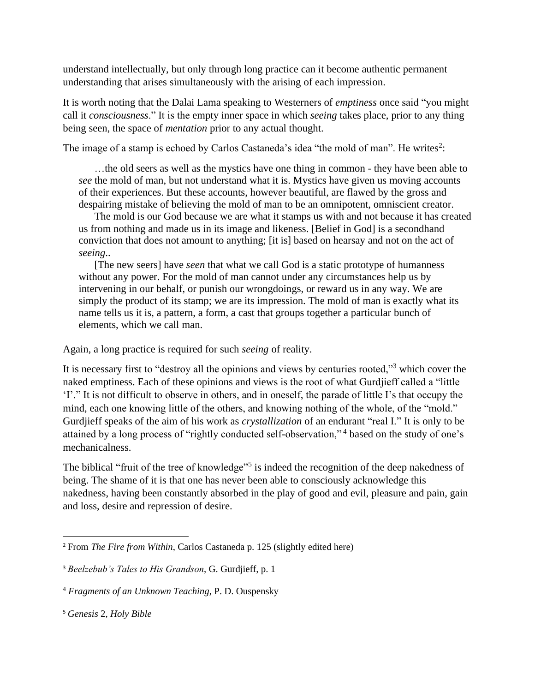understand intellectually, but only through long practice can it become authentic permanent understanding that arises simultaneously with the arising of each impression.

It is worth noting that the Dalai Lama speaking to Westerners of *emptiness* once said "you might call it *consciousness*." It is the empty inner space in which *seeing* takes place, prior to any thing being seen, the space of *mentation* prior to any actual thought.

The image of a stamp is echoed by Carlos Castaneda's idea "the mold of man". He writes<sup>2</sup>:

…the old seers as well as the mystics have one thing in common - they have been able to *see* the mold of man, but not understand what it is. Mystics have given us moving accounts of their experiences. But these accounts, however beautiful, are flawed by the gross and despairing mistake of believing the mold of man to be an omnipotent, omniscient creator.

The mold is our God because we are what it stamps us with and not because it has created us from nothing and made us in its image and likeness. [Belief in God] is a secondhand conviction that does not amount to anything; [it is] based on hearsay and not on the act of *seeing*..

[The new seers] have *seen* that what we call God is a static prototype of humanness without any power. For the mold of man cannot under any circumstances help us by intervening in our behalf, or punish our wrongdoings, or reward us in any way. We are simply the product of its stamp; we are its impression. The mold of man is exactly what its name tells us it is, a pattern, a form, a cast that groups together a particular bunch of elements, which we call man.

Again, a long practice is required for such *seeing* of reality.

It is necessary first to "destroy all the opinions and views by centuries rooted,"<sup>3</sup> which cover the naked emptiness. Each of these opinions and views is the root of what Gurdjieff called a "little 'I'." It is not difficult to observe in others, and in oneself, the parade of little I's that occupy the mind, each one knowing little of the others, and knowing nothing of the whole, of the "mold." Gurdjieff speaks of the aim of his work as *crystallization* of an endurant "real I." It is only to be attained by a long process of "rightly conducted self-observation," <sup>4</sup> based on the study of one's mechanicalness.

The biblical "fruit of the tree of knowledge"<sup>5</sup> is indeed the recognition of the deep nakedness of being. The shame of it is that one has never been able to consciously acknowledge this nakedness, having been constantly absorbed in the play of good and evil, pleasure and pain, gain and loss, desire and repression of desire.

<sup>2</sup> From *The Fire from Within*, Carlos Castaneda p. 125 (slightly edited here)

<sup>3</sup> *Beelzebub's Tales to His Grandson*, G. Gurdjieff, p. 1

<sup>4</sup> *Fragments of an Unknown Teaching*, P. D. Ouspensky

<sup>5</sup> *Genesis* 2, *Holy Bible*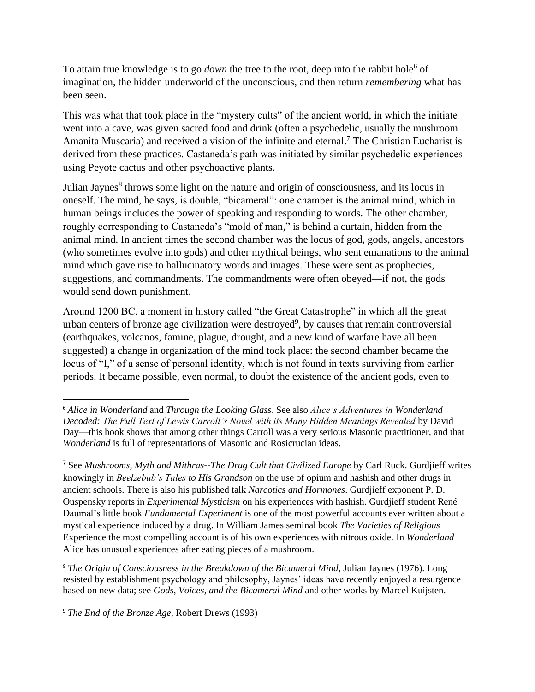To attain true knowledge is to go *down* the tree to the root, deep into the rabbit hole<sup>6</sup> of imagination, the hidden underworld of the unconscious, and then return *remembering* what has been seen.

This was what that took place in the "mystery cults" of the ancient world, in which the initiate went into a cave, was given sacred food and drink (often a psychedelic, usually the mushroom Amanita Muscaria) and received a vision of the infinite and eternal.<sup>7</sup> The Christian Eucharist is derived from these practices. Castaneda's path was initiated by similar psychedelic experiences using Peyote cactus and other psychoactive plants.

Julian Jaynes<sup>8</sup> throws some light on the nature and origin of consciousness, and its locus in oneself. The mind, he says, is double, "bicameral": one chamber is the animal mind, which in human beings includes the power of speaking and responding to words. The other chamber, roughly corresponding to Castaneda's "mold of man," is behind a curtain, hidden from the animal mind. In ancient times the second chamber was the locus of god, gods, angels, ancestors (who sometimes evolve into gods) and other mythical beings, who sent emanations to the animal mind which gave rise to hallucinatory words and images. These were sent as prophecies, suggestions, and commandments. The commandments were often obeyed—if not, the gods would send down punishment.

Around 1200 BC, a moment in history called "the Great Catastrophe" in which all the great urban centers of bronze age civilization were destroyed<sup>9</sup>, by causes that remain controversial (earthquakes, volcanos, famine, plague, drought, and a new kind of warfare have all been suggested) a change in organization of the mind took place: the second chamber became the locus of "I," of a sense of personal identity, which is not found in texts surviving from earlier periods. It became possible, even normal, to doubt the existence of the ancient gods, even to

<sup>8</sup> *The Origin of Consciousness in the Breakdown of the Bicameral Mind*, Julian Jaynes (1976). Long resisted by establishment psychology and philosophy, Jaynes' ideas have recently enjoyed a resurgence based on new data; see *Gods, Voices, and the Bicameral Mind* and other works by Marcel Kuijsten.

<sup>9</sup> *The End of the Bronze Age*, Robert Drews (1993)

<sup>6</sup> *Alice in Wonderland* and *Through the Looking Glass*. See also *Alice's Adventures in Wonderland Decoded: The Full Text of Lewis Carroll's Novel with its Many Hidden Meanings Revealed* by David Day—this book shows that among other things Carroll was a very serious Masonic practitioner, and that *Wonderland* is full of representations of Masonic and Rosicrucian ideas.

<sup>7</sup> See *Mushrooms, Myth and Mithras--The Drug Cult that Civilized Europe* by Carl Ruck. Gurdjieff writes knowingly in *Beelzebub's Tales to His Grandson* on the use of opium and hashish and other drugs in ancient schools. There is also his published talk *Narcotics and Hormones*. Gurdjieff exponent P. D. Ouspensky reports in *Experimental Mysticism* on his experiences with hashish. Gurdjieff student René Daumal's little book *Fundamental Experiment* is one of the most powerful accounts ever written about a mystical experience induced by a drug. In William James seminal book *The Varieties of Religious*  Experience the most compelling account is of his own experiences with nitrous oxide. In *Wonderland* Alice has unusual experiences after eating pieces of a mushroom.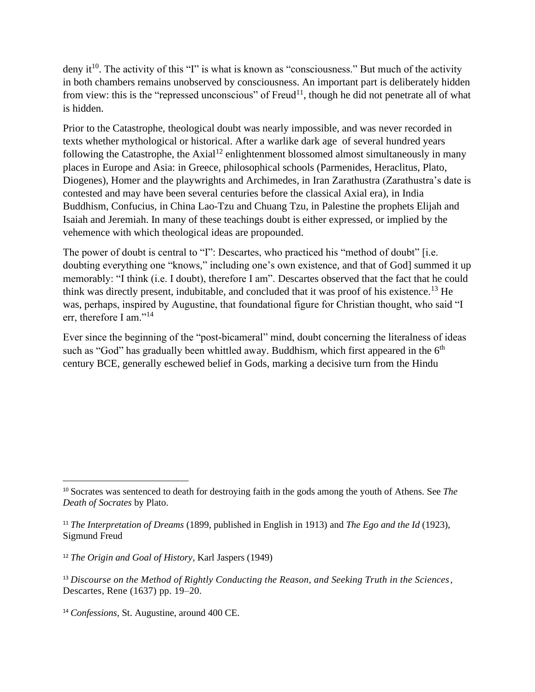deny it<sup>10</sup>. The activity of this "I" is what is known as "consciousness." But much of the activity in both chambers remains unobserved by consciousness. An important part is deliberately hidden from view: this is the "repressed unconscious" of  $Freud<sup>11</sup>$ , though he did not penetrate all of what is hidden.

Prior to the Catastrophe, theological doubt was nearly impossible, and was never recorded in texts whether mythological or historical. After a warlike dark age of several hundred years following the Catastrophe, the Axial<sup>12</sup> enlightenment blossomed almost simultaneously in many places in Europe and Asia: in Greece, philosophical schools (Parmenides, Heraclitus, Plato, Diogenes), Homer and the playwrights and Archimedes, in Iran Zarathustra (Zarathustra's date is contested and may have been several centuries before the classical Axial era), in India Buddhism, Confucius, in China Lao-Tzu and Chuang Tzu, in Palestine the prophets Elijah and Isaiah and Jeremiah. In many of these teachings doubt is either expressed, or implied by the vehemence with which theological ideas are propounded.

The power of doubt is central to "I": Descartes, who practiced his "method of doubt" [i.e. doubting everything one "knows," including one's own existence, and that of God] summed it up memorably: "I think (i.e. I doubt), therefore I am". Descartes observed that the fact that he could think was directly present, indubitable, and concluded that it was proof of his existence.<sup>13</sup> He was, perhaps, inspired by Augustine, that foundational figure for Christian thought, who said "I err, therefore I am."<sup>14</sup>

Ever since the beginning of the "post-bicameral" mind, doubt concerning the literalness of ideas such as "God" has gradually been whittled away. Buddhism, which first appeared in the  $6<sup>th</sup>$ century BCE, generally eschewed belief in Gods, marking a decisive turn from the Hindu

<sup>10</sup> Socrates was sentenced to death for destroying faith in the gods among the youth of Athens. See *The Death of Socrates* by Plato.

<sup>11</sup> *The Interpretation of Dreams* (1899, published in English in 1913) and *The Ego and the Id* (1923), Sigmund Freud

<sup>12</sup> *The Origin and Goal of History*, Karl Jaspers (1949)

<sup>13</sup> *Discourse on the Method of Rightly Conducting the Reason, and Seeking Truth in the Sciences,* Descartes, Rene (1637) pp. 19–20.

<sup>14</sup> *Confessions*, St. Augustine, around 400 CE.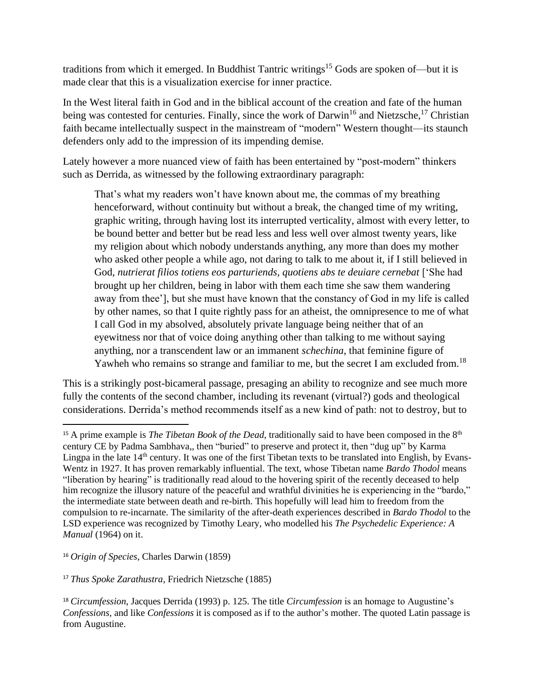traditions from which it emerged. In Buddhist Tantric writings<sup>15</sup> Gods are spoken of—but it is made clear that this is a visualization exercise for inner practice.

In the West literal faith in God and in the biblical account of the creation and fate of the human being was contested for centuries. Finally, since the work of Darwin<sup>16</sup> and Nietzsche,<sup>17</sup> Christian faith became intellectually suspect in the mainstream of "modern" Western thought—its staunch defenders only add to the impression of its impending demise.

Lately however a more nuanced view of faith has been entertained by "post-modern" thinkers such as Derrida, as witnessed by the following extraordinary paragraph:

That's what my readers won't have known about me, the commas of my breathing henceforward, without continuity but without a break, the changed time of my writing, graphic writing, through having lost its interrupted verticality, almost with every letter, to be bound better and better but be read less and less well over almost twenty years, like my religion about which nobody understands anything, any more than does my mother who asked other people a while ago, not daring to talk to me about it, if I still believed in God, nutrierat filios totiens eos parturiends, quotiens abs te deuiare cernebat ['She had brought up her children, being in labor with them each time she saw them wandering away from thee'], but she must have known that the constancy of God in my life is called by other names, so that I quite rightly pass for an atheist, the omnipresence to me of what I call God in my absolved, absolutely private language being neither that of an eyewitness nor that of voice doing anything other than talking to me without saying anything, nor a transcendent law or an immanent *schechina*, that feminine figure of Yawheh who remains so strange and familiar to me, but the secret I am excluded from.<sup>18</sup>

This is a strikingly post-bicameral passage, presaging an ability to recognize and see much more fully the contents of the second chamber, including its revenant (virtual?) gods and theological considerations. Derrida's method recommends itself as a new kind of path: not to destroy, but to

<sup>16</sup> *Origin of Species*, Charles Darwin (1859)

<sup>17</sup> *Thus Spoke Zarathustra*, Friedrich Nietzsche (1885)

<sup>&</sup>lt;sup>15</sup> A prime example is *The Tibetan Book of the Dead*, traditionally said to have been composed in the  $8<sup>th</sup>$ century CE by Padma Sambhava,, then "buried" to preserve and protect it, then "dug up" by Karma Lingpa in the late 14<sup>th</sup> century. It was one of the first Tibetan texts to be translated into English, by Evans-Wentz in 1927. It has proven remarkably influential. The text, whose Tibetan name *Bardo Thodol* means "liberation by hearing" is traditionally read aloud to the hovering spirit of the recently deceased to help him recognize the illusory nature of the peaceful and wrathful divinities he is experiencing in the "bardo," the intermediate state between death and re-birth. This hopefully will lead him to freedom from the compulsion to re-incarnate. The similarity of the after-death experiences described in *Bardo Thodol* to the LSD experience was recognized by Timothy Leary, who modelled his *The Psychedelic Experience: A Manual* (1964) on it.

<sup>18</sup> *Circumfession*, Jacques Derrida (1993) p. 125. The title *Circumfession* is an homage to Augustine's *Confessions*, and like *Confessions* it is composed as if to the author's mother. The quoted Latin passage is from Augustine.